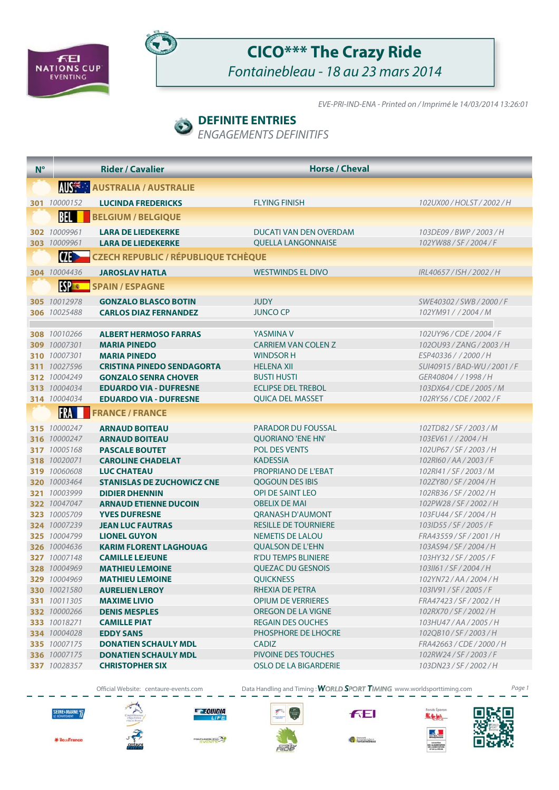



## **CICO\*\*\* The Crazy Ride** Fontainebleau - 18 au 23 mars 2014

EVE-PRI-IND-ENA - Printed on / Imprimé le 14/03/2014 13:26:01

### **DEFINITE ENTRIES**

ENGAGEMENTS DEFINITIFS

| $N^{\circ}$ |                              | <b>Rider / Cavalier</b>                              | <b>Horse / Cheval</b>                           |                                        |
|-------------|------------------------------|------------------------------------------------------|-------------------------------------------------|----------------------------------------|
|             |                              | <b>AUSE :: AUSTRALIA / AUSTRALIE</b>                 |                                                 |                                        |
|             | 301 10000152                 | <b>LUCINDA FREDERICKS</b>                            | <b>FLYING FINISH</b>                            | 102UX00 / HOLST / 2002 / H             |
|             | BEL                          | <b>BELGIUM / BELGIQUE</b>                            |                                                 |                                        |
|             | 302 10009961                 | <b>LARA DE LIEDEKERKE</b>                            | DUCATI VAN DEN OVERDAM                          | 103DE09/BWP/2003/H                     |
|             | 303 10009961                 | <b>LARA DE LIEDEKERKE</b>                            | <b>QUELLA LANGONNAISE</b>                       | 102YW88/SF/2004/F                      |
|             | $\sigma$                     | <b>CZECH REPUBLIC / RÉPUBLIQUE TCHÈQUE</b>           |                                                 |                                        |
|             | 304 10004436                 | <b>JAROSLAV HATLA</b>                                | <b>WESTWINDS EL DIVO</b>                        | IRL40657/ISH/2002/H                    |
|             | <b>ESPER</b>                 | <b>SPAIN / ESPAGNE</b>                               |                                                 |                                        |
|             | 305 10012978                 | <b>GONZALO BLASCO BOTIN</b>                          | <b>JUDY</b>                                     | SWE40302 / SWB / 2000 / F              |
|             | 306 10025488                 | <b>CARLOS DIAZ FERNANDEZ</b>                         | <b>JUNCO CP</b>                                 | 102YM91 / / 2004 / M                   |
|             |                              |                                                      |                                                 |                                        |
|             | 308 10010266                 | <b>ALBERT HERMOSO FARRAS</b>                         | YASMINA V                                       | 102UY96 / CDE / 2004 / F               |
|             | 309 10007301                 | <b>MARIA PINEDO</b>                                  | <b>CARRIEM VAN COLEN Z</b>                      | 102OU93 / ZANG / 2003 / H              |
|             | 310 10007301                 | <b>MARIA PINEDO</b>                                  | <b>WINDSOR H</b>                                | ESP40336 / / 2000 / H                  |
|             | 311 10027596                 | <b>CRISTINA PINEDO SENDAGORTA</b>                    | <b>HELENA XII</b>                               | SUI40915 / BAD-WU / 2001 / F           |
|             | 312 10004249                 | <b>GONZALO SENRA CHOVER</b>                          | <b>BUSTI HUSTI</b>                              | GER40804 / / 1998 / H                  |
|             | 313 10004034                 | <b>EDUARDO VIA - DUFRESNE</b>                        | <b>ECLIPSE DEL TREBOL</b>                       | 103DX64 / CDE / 2005 / M               |
|             | <b>314</b> 10004034          | <b>EDUARDO VIA - DUFRESNE</b>                        | <b>QUICA DEL MASSET</b>                         | 102RY56 / CDE / 2002 / F               |
|             | <b>FRA</b>                   | <b>FRANCE / FRANCE</b>                               |                                                 |                                        |
|             | 315 10000247                 | <b>ARNAUD BOITEAU</b>                                | <b>PARADOR DU FOUSSAL</b>                       | 102TD82/SF/2003/M                      |
|             | 316 10000247                 | <b>ARNAUD BOITEAU</b>                                | <b>QUORIANO 'ENE HN'</b>                        | 103EV61 / / 2004 / H                   |
|             | 317 10005168                 | <b>PASCALE BOUTET</b>                                | <b>POL DES VENTS</b>                            | 102UP67/SF/2003/H                      |
|             | 318 10020071                 | <b>CAROLINE CHADELAT</b>                             | <b>KADESSIA</b>                                 | 102RI60/AA/2003/F                      |
|             | 319 10060608                 | <b>LUC CHATEAU</b>                                   | PROPRIANO DE L'EBAT                             | 102RI41/SF/2003/M                      |
|             | 320 10003464                 | <b>STANISLAS DE ZUCHOWICZ CNE</b>                    | QOGOUN DES IBIS                                 | 102ZY80 / SF / 2004 / H                |
|             | 321 10003999                 | <b>DIDIER DHENNIN</b>                                | <b>OPI DE SAINT LEO</b><br><b>OBELIX DE MAI</b> | 102RB36/SF/2002/H                      |
|             | 322 10047047<br>323 10005709 | <b>ARNAUD ETIENNE DUCOIN</b><br><b>YVES DUFRESNE</b> | <b>QRANASH D'AUMONT</b>                         | 102PW28/SF/2002/H<br>103FU44/SF/2004/H |
|             | 324 10007239                 | <b>JEAN LUC FAUTRAS</b>                              | <b>RESILLE DE TOURNIERE</b>                     | 103ID55/SF/2005/F                      |
|             | 325 10004799                 | <b>LIONEL GUYON</b>                                  | <b>NEMETIS DE LALOU</b>                         | FRA43559 / SF / 2001 / H               |
|             | 326 10004636                 | <b>KARIM FLORENT LAGHOUAG</b>                        | <b>QUALSON DE L'EHN</b>                         | 103AS94/SF/2004/H                      |
|             | 327 10007148                 | <b>CAMILLE LEJEUNE</b>                               | <b>R'DU TEMPS BLINIERE</b>                      | 103HY32/SF/2005/F                      |
|             | 328 10004969                 | <b>MATHIEU LEMOINE</b>                               | QUEZAC DU GESNOIS                               | 103II61/SF/2004/H                      |
|             | 329 10004969                 | <b>MATHIEU LEMOINE</b>                               | <b>QUICKNESS</b>                                | 102YN72 / AA / 2004 / H                |
|             | <b>330</b> 10021580          | <b>AURELIEN LEROY</b>                                | RHEXIA DE PETRA                                 | 103IV91/SF/2005/F                      |
|             | 331 10011305                 | <b>MAXIME LIVIO</b>                                  | <b>OPIUM DE VERRIERES</b>                       | FRA47423 / SF / 2002 / H               |
|             | 332 10000266                 | <b>DENIS MESPLES</b>                                 | OREGON DE LA VIGNE                              | 102RX70 / SF / 2002 / H                |
|             | 333 10018271                 | <b>CAMILLE PIAT</b>                                  | <b>REGAIN DES OUCHES</b>                        | 103HU47/AA/2005/H                      |
|             | 334 10004028                 | <b>EDDY SANS</b>                                     | PHOSPHORE DE LHOCRE                             | 102QB10/SF/2003/H                      |
|             | 335 10007175                 | <b>DONATIEN SCHAULY MDL</b>                          | <b>CADIZ</b>                                    | FRA42663 / CDE / 2000 / H              |
|             | 336 10007175                 | <b>DONATIEN SCHAULY MDL</b>                          | PIVOINE DES TOUCHES                             | 102RW24/SF/2003/F                      |
|             | 337 10028357                 | <b>CHRISTOPHER SIX</b>                               | OSLO DE LA BIGARDERIE                           | 103DN23/SF/2002/H                      |

Official Website: centaure-events.com Data Handling and Timing : WORLD SPORT TIMING www.worldsporttiming.com Page 1



\* les-France



E EQUIDIA LIFE **WENTERS** 



**FEI** 



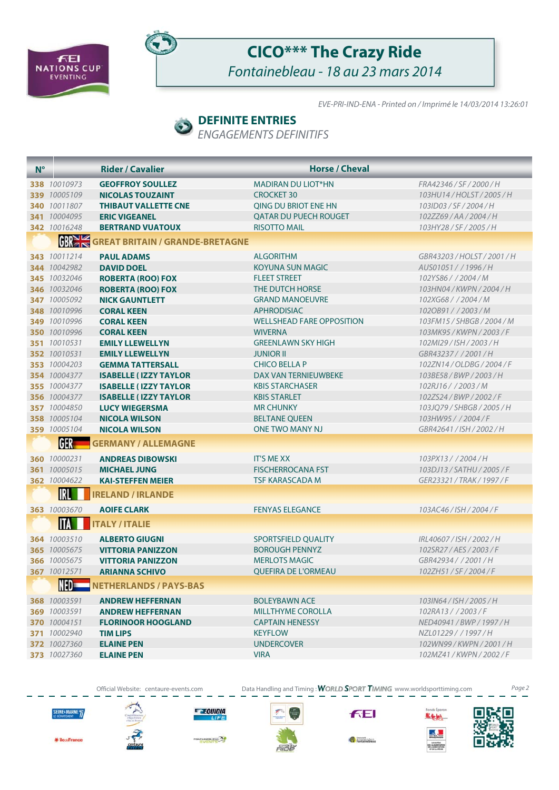



## **CICO\*\*\* The Crazy Ride** Fontainebleau - 18 au 23 mars 2014

EVE-PRI-IND-ENA - Printed on / Imprimé le 14/03/2014 13:26:01

#### **DEFINITE ENTRIES**

ENGAGEMENTS DEFINITIFS

| $N^{\circ}$ |                     | <b>Rider / Cavalier</b>                | <b>Horse / Cheval</b>            |                             |
|-------------|---------------------|----------------------------------------|----------------------------------|-----------------------------|
|             | 338 10010973        | <b>GEOFFROY SOULLEZ</b>                | <b>MADIRAN DU LIOT*HN</b>        | FRA42346 / SF / 2000 / H    |
|             | 339 10005109        | <b>NICOLAS TOUZAINT</b>                | <b>CROCKET 30</b>                | 103HU14/HOLST/2005/H        |
|             | 340 10011807        | <b>THIBAUT VALLETTE CNE</b>            | QING DU BRIOT ENE HN             | 103ID03/SF/2004/H           |
|             | 341 10004095        | <b>ERIC VIGEANEL</b>                   | <b>QATAR DU PUECH ROUGET</b>     | 102ZZ69/AA/2004/H           |
|             | 342 10016248        | <b>BERTRAND VUATOUX</b>                | <b>RISOTTO MAIL</b>              | 103HY28/SF/2005/H           |
|             | <b>GBRAKE</b>       | <b>GREAT BRITAIN / GRANDE-BRETAGNE</b> |                                  |                             |
|             | 343 10011214        | <b>PAUL ADAMS</b>                      | <b>ALGORITHM</b>                 | GBR43203 / HOLST / 2001 / H |
|             | 344 10042982        | <b>DAVID DOEL</b>                      | KOYUNA SUN MAGIC                 | AUS01051 / / 1996 / H       |
|             | 345 10032046        | <b>ROBERTA (ROO) FOX</b>               | <b>FLEET STREET</b>              | 102YS86 / / 2004 / M        |
|             | 346 10032046        | <b>ROBERTA (ROO) FOX</b>               | THE DUTCH HORSE                  | 103HN04 / KWPN / 2004 / H   |
|             | 347 10005092        | <b>NICK GAUNTLETT</b>                  | <b>GRAND MANOEUVRE</b>           | 102XG68 / / 2004 / M        |
|             | 348 10010996        | <b>CORAL KEEN</b>                      | <b>APHRODISIAC</b>               | 102OB91//2003/M             |
|             | 349 10010996        | <b>CORAL KEEN</b>                      | <b>WELLSHEAD FARE OPPOSITION</b> | 103FM15 / SHBGB / 2004 / M  |
|             | 350 10010996        | <b>CORAL KEEN</b>                      | <b>WIVERNA</b>                   | 103MK95 / KWPN / 2003 / F   |
|             | 351 10010531        | <b>EMILY LLEWELLYN</b>                 | <b>GREENLAWN SKY HIGH</b>        | 102MI29/ISH/2003/H          |
|             | 352 10010531        | <b>EMILY LLEWELLYN</b>                 | <b>JUNIOR II</b>                 | GBR43237 / / 2001 / H       |
|             | 353 10004203        | <b>GEMMA TATTERSALL</b>                | <b>CHICO BELLA P</b>             | 102ZN14 / OLDBG / 2004 / F  |
|             | 354 10004377        | <b>ISABELLE (IZZY TAYLOR</b>           | DAX VAN TERNIEUWBEKE             | 103BE58/BWP/2003/H          |
|             | 355 10004377        | <b>ISABELLE (IZZY TAYLOR</b>           | <b>KBIS STARCHASER</b>           | 102RJ16 / / 2003 / M        |
|             | 356 10004377        | <b>ISABELLE (IZZY TAYLOR</b>           | <b>KBIS STARLET</b>              | 102ZS24/BWP/2002/F          |
|             | 357 10004850        | <b>LUCY WIEGERSMA</b>                  | <b>MR CHUNKY</b>                 | 103JQ79 / SHBGB / 2005 / H  |
|             | 358 10005104        | <b>NICOLA WILSON</b>                   | <b>BELTANE QUEEN</b>             | 103HW95 / / 2004 / F        |
|             | 359 10005104        | <b>NICOLA WILSON</b>                   | <b>ONE TWO MANY NJ</b>           | GBR42641 / ISH / 2002 / H   |
|             | <b>GER</b>          | <b>GERMANY / ALLEMAGNE</b>             |                                  |                             |
|             | 360 10000231        | <b>ANDREAS DIBOWSKI</b>                | <b>IT'S ME XX</b>                | 103PX13 / / 2004 / H        |
|             | 361 10005015        | <b>MICHAEL JUNG</b>                    | <b>FISCHERROCANA FST</b>         | 103DJ13 / SATHU / 2005 / F  |
|             | 362 10004622        | <b>KAI-STEFFEN MEIER</b>               | TSF KARASCADA M                  | GER23321 / TRAK / 1997 / F  |
|             | IRL                 | <b>IRELAND / IRLANDE</b>               |                                  |                             |
|             | 363 10003670        | <b>AOIFE CLARK</b>                     | <b>FENYAS ELEGANCE</b>           | 103AC46 / ISH / 2004 / F    |
|             | ITA                 | <b>ITALY / ITALIE</b>                  |                                  |                             |
|             | 364 10003510        | <b>ALBERTO GIUGNI</b>                  | <b>SPORTSFIELD OUALITY</b>       | IRL40607 / ISH / 2002 / H   |
|             | 365 10005675        | <b>VITTORIA PANIZZON</b>               | <b>BOROUGH PENNYZ</b>            | 102SR27/AES/2003/F          |
|             | 366 10005675        | <b>VITTORIA PANIZZON</b>               | <b>MERLOTS MAGIC</b>             | GBR42934 / / 2001 / H       |
|             | <b>367</b> 10012571 | <b>ARIANNA SCHIVO</b>                  | QUEFIRA DE L'ORMEAU              | 102ZH51/SF/2004/F           |
|             |                     | NETHERLANDS / PAYS-BAS                 |                                  |                             |
|             | 368 10003591        | <b>ANDREW HEFFERNAN</b>                | <b>BOLEYBAWN ACE</b>             | 103IN64 / ISH / 2005 / H    |
|             | 369 10003591        | <b>ANDREW HEFFERNAN</b>                | <b>MILLTHYME COROLLA</b>         | 102RA13 / / 2003 / F        |
|             | 370 10004151        | <b>FLORINOOR HOOGLAND</b>              | <b>CAPTAIN HENESSY</b>           | NED40941 / BWP / 1997 / H   |
|             | 371 10002940        | <b>TIM LIPS</b>                        | <b>KEYFLOW</b>                   | NZL01229 / / 1997 / H       |
|             | 372 10027360        | <b>ELAINE PEN</b>                      | <b>UNDERCOVER</b>                | 102WN99 / KWPN / 2001 / H   |
|             | 373 10027360        | <b>ELAINE PEN</b>                      | VIRA                             | 102MZ41 / KWPN / 2002 / F   |
|             |                     |                                        |                                  |                             |

Official Website: centaure-events.com Data Handling and Timing: WORLD SPORT TIMING www.worldsporttiming.com Page 2

SEINE<sup>&</sup>MARNE<sup>7</sup>



E EQUIDIA **TIFE** 

**WENTERS** 



**FEI** 

Fontainebleau





\* les-France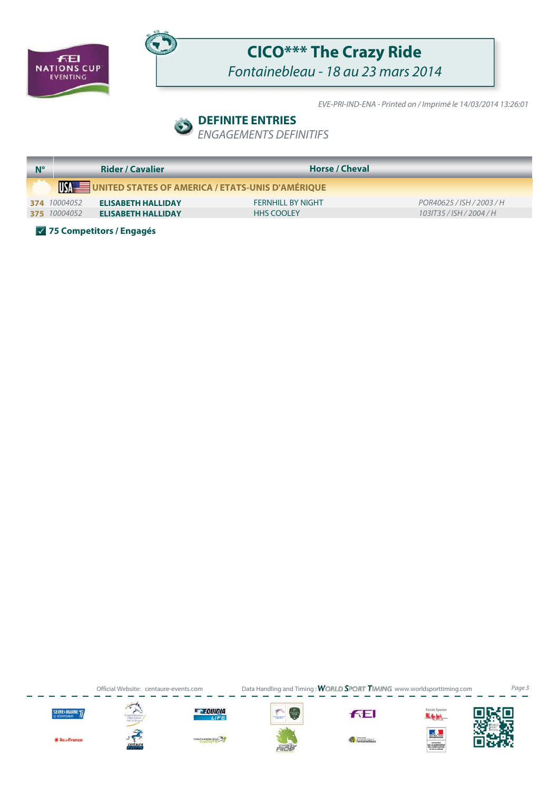



# **CICO\*\*\* The Crazy Ride**

Fontainebleau - 18 au 23 mars 2014

EVE-PRI-IND-ENA - Printed on / Imprimé le 14/03/2014 13:26:01

### **DEFINITE ENTRIES**

ENGAGEMENTS DEFINITIFS

|              | <b>Rider / Cavalier</b>   | <b>Horse / Cheval</b>                            |                           |
|--------------|---------------------------|--------------------------------------------------|---------------------------|
|              |                           | UNITED STATES OF AMERICA / ETATS-UNIS D'AMÉRIQUE |                           |
| 374 10004052 | <b>ELISABETH HALLIDAY</b> | <b>FERNHILL BY NIGHT</b>                         | POR40625 / ISH / 2003 / H |
| 375 10004052 | <b>ELISABETH HALLIDAY</b> | <b>HHS COOLEY</b>                                | 1031T35 / ISH / 2004 / H  |

**75 Competitors / Engagés**

Official Website: centaure-events.com Data Handling and Timing: WORLD SPORT TIMING www.worldsporttiming.com Page 3



\* les-France







**RENTEN AP** 







**FEI** 



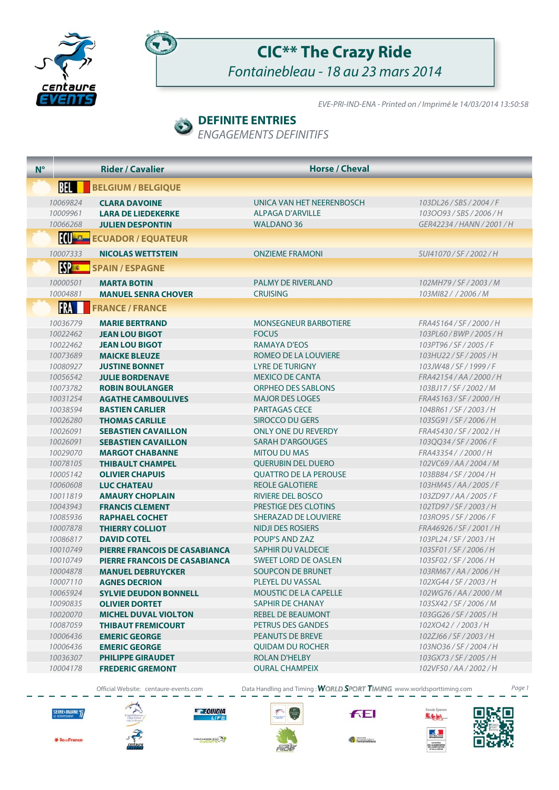



## **CIC\*\* The Crazy Ride**

Fontainebleau - 18 au 23 mars 2014

EVE-PRI-IND-ENA - Printed on / Imprimé le 14/03/2014 13:50:58

### **DEFINITE ENTRIES**

ENGAGEMENTS DEFINITIFS

| $N^{\circ}$ | <b>Rider / Cavalier</b>                                                                                          | <b>Horse / Cheval</b>                                                     |                                                                        |
|-------------|------------------------------------------------------------------------------------------------------------------|---------------------------------------------------------------------------|------------------------------------------------------------------------|
|             | <b>BEL</b><br><b>BELGIUM / BELGIQUE</b>                                                                          |                                                                           |                                                                        |
|             | 10069824<br><b>CLARA DAVOINE</b><br>10009961<br><b>LARA DE LIEDEKERKE</b><br>10066268<br><b>JULIEN DESPONTIN</b> | UNICA VAN HET NEERENBOSCH<br><b>ALPAGA D'ARVILLE</b><br><b>WALDANO 36</b> | 103DL26/SBS/2004/F<br>1030093/SBS/2006/H<br>GER42234 / HANN / 2001 / H |
|             | <b>III C ECUADOR / EQUATEUR</b>                                                                                  |                                                                           |                                                                        |
|             | 10007333<br><b>NICOLAS WETTSTEIN</b>                                                                             | <b>ONZIEME FRAMONI</b>                                                    | SUI41070/SF/2002/H                                                     |
|             | <b>ESPERT</b><br><b>SPAIN / ESPAGNE</b>                                                                          |                                                                           |                                                                        |
|             | 10000501<br><b>MARTA BOTIN</b><br>10004881<br><b>MANUEL SENRA CHOVER</b>                                         | <b>PALMY DE RIVERLAND</b><br><b>CRUISING</b>                              | 102MH79/SF/2003/M<br>103MI82 / / 2006 / M                              |
|             | FRA<br><b>FRANCE / FRANCE</b>                                                                                    |                                                                           |                                                                        |
|             | 10036779<br><b>MARIE BERTRAND</b>                                                                                | <b>MONSEGNEUR BARBOTIERE</b>                                              | FRA45164 / SF / 2000 / H                                               |
|             | 10022462<br><b>JEAN LOU BIGOT</b><br>10022462<br><b>JEAN LOU BIGOT</b>                                           | <b>FOCUS</b><br><b>RAMAYA D'EOS</b>                                       | 103PL60/BWP/2005/H<br>103PT96 / SF / 2005 / F                          |
|             | 10073689<br><b>MAICKE BLEUZE</b>                                                                                 | ROMEO DE LA LOUVIERE                                                      | 103HU22/SF/2005/H                                                      |
|             | 10080927<br><b>JUSTINE BONNET</b>                                                                                | <b>LYRE DE TURIGNY</b>                                                    | 103JW48/SF/1999/F                                                      |
|             | 10056542<br><b>JULIE BORDENAVE</b>                                                                               | <b>MEXICO DE CANTA</b>                                                    | FRA42154 / AA / 2000 / H                                               |
|             | 10073782<br><b>ROBIN BOULANGER</b>                                                                               | <b>ORPHEO DES SABLONS</b>                                                 | 103BJ17/SF/2002/M                                                      |
|             | 10031254<br><b>AGATHE CAMBOULIVES</b><br>10038594<br><b>BASTIEN CARLIER</b>                                      | <b>MAJOR DES LOGES</b><br><b>PARTAGAS CECE</b>                            | FRA45163 / SF / 2000 / H<br>104BR61/SF/2003/H                          |
|             | 10026280<br><b>THOMAS CARLILE</b>                                                                                | SIROCCO DU GERS                                                           | 103SG91/SF/2006/H                                                      |
|             | 10026091<br><b>SEBASTIEN CAVAILLON</b>                                                                           | <b>ONLY ONE DU REVERDY</b>                                                | FRA45430 / SF / 2002 / H                                               |
|             | 10026091<br><b>SEBASTIEN CAVAILLON</b>                                                                           | <b>SARAH D'ARGOUGES</b>                                                   | 103QQ34/SF/2006/F                                                      |
|             | 10029070<br><b>MARGOT CHABANNE</b>                                                                               | <b>MITOU DU MAS</b>                                                       | FRA43354 / / 2000 / H                                                  |
|             | 10078105<br><b>THIBAULT CHAMPEL</b>                                                                              | <b>QUERUBIN DEL DUERO</b>                                                 | 102VC69/AA/2004/M                                                      |
|             | 10005142<br><b>OLIVIER CHAPUIS</b><br>10060608<br><b>LUC CHATEAU</b>                                             | <b>QUATTRO DE LA PEROUSE</b><br><b>REOLE GALOTIERE</b>                    | 103BB84/SF/2004/H<br>103HM45 / AA / 2005 / F                           |
|             | 10011819<br><b>AMAURY CHOPLAIN</b>                                                                               | <b>RIVIERE DEL BOSCO</b>                                                  | 103ZD97/AA/2005/F                                                      |
|             | 10043943<br><b>FRANCIS CLEMENT</b>                                                                               | PRESTIGE DES CLOTINS                                                      | 102TD97/SF/2003/H                                                      |
|             | 10085936<br><b>RAPHAEL COCHET</b>                                                                                | SHERAZAD DE LOUVIERE                                                      | 103RO95 / SF / 2006 / F                                                |
|             | 10007878<br><b>THIERRY COLLIOT</b>                                                                               | <b>NIDJI DES ROSIERS</b>                                                  | FRA46926 / SF / 2001 / H                                               |
|             | 10086817<br><b>DAVID COTEL</b>                                                                                   | POUP'S AND ZAZ                                                            | 103PL24 / SF / 2003 / H                                                |
|             | 10010749<br><b>PIERRE FRANCOIS DE CASABIANCA</b>                                                                 | <b>SAPHIR DU VALDECIE</b>                                                 | 103SF01/SF/2006/H                                                      |
|             | 10010749<br><b>PIERRE FRANCOIS DE CASABIANCA</b>                                                                 | <b>SWEET LORD DE OASLEN</b>                                               | 103SF02/SF/2006/H<br>103RM67/AA/2006/H                                 |
|             | 10004878<br><b>MANUEL DEBRUYCKER</b><br>10007110<br><b>AGNES DECRION</b>                                         | <b>SOUPCON DE BRUNET</b><br>PLEYEL DU VASSAL                              | 102XG44 / SF / 2003 / H                                                |
|             | 10065924<br><b>SYLVIE DEUDON BONNELL</b>                                                                         | <b>MOUSTIC DE LA CAPELLE</b>                                              | 102WG76/AA/2000/M                                                      |
|             | 10090835<br><b>OLIVIER DORTET</b>                                                                                | <b>SAPHIR DE CHANAY</b>                                                   | 103SX42/SF/2006/M                                                      |
|             | 10020070<br><b>MICHEL DUVAL VIOLTON</b>                                                                          | <b>REBEL DE BEAUMONT</b>                                                  | 103GG26/SF/2005/H                                                      |
|             | 10087059<br><b>THIBAUT FREMICOURT</b>                                                                            | PETRUS DES GANDES                                                         | 102XO42 / / 2003 / H                                                   |
|             | 10006436<br><b>EMERIC GEORGE</b>                                                                                 | <b>PEANUTS DE BREVE</b>                                                   | 102ZJ66 / SF / 2003 / H                                                |
|             | 10006436<br><b>EMERIC GEORGE</b>                                                                                 | <b>QUIDAM DU ROCHER</b>                                                   | 103NO36/SF/2004/H                                                      |
|             | 10036307<br><b>PHILIPPE GIRAUDET</b><br>10004178<br><b>FREDERIC GREMONT</b>                                      | <b>ROLAN D'HELBY</b><br><b>OURAL CHAMPEIX</b>                             | 103GX73/SF/2005/H<br>102VF50/AA/2002/H                                 |
|             |                                                                                                                  |                                                                           |                                                                        |

Official Website: centaure-events.com Data Handling and Timing : WORLD SPORT TIMING www.worldsporttiming.com Page 1



\* iles-Franc



**E EQUIDIA**  $n = 1$ 

**NTALES** 



**FEI** 



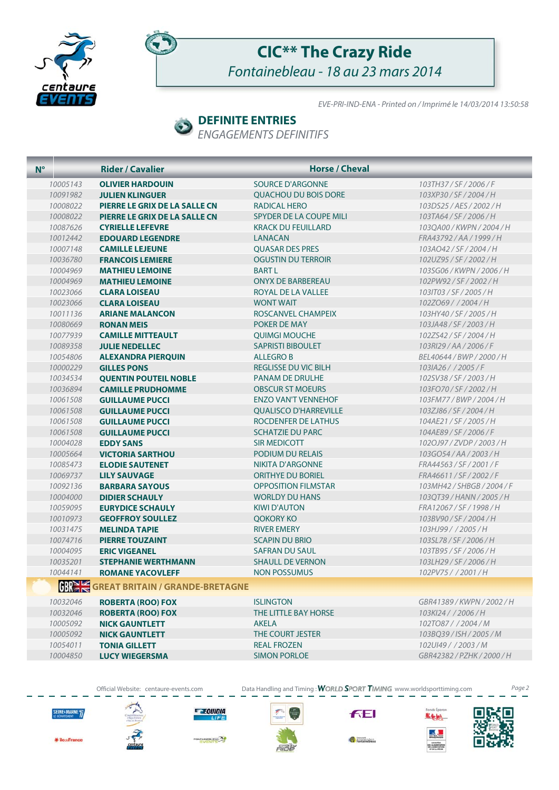



## **CIC\*\* The Crazy Ride** Fontainebleau - 18 au 23 mars 2014

EVE-PRI-IND-ENA - Printed on / Imprimé le 14/03/2014 13:50:58

#### **DEFINITE ENTRIES**

ENGAGEMENTS DEFINITIFS

| $N^{\circ}$ | <b>Rider / Cavalier</b>                | <b>Horse / Cheval</b>        |                            |
|-------------|----------------------------------------|------------------------------|----------------------------|
| 10005143    | <b>OLIVIER HARDOUIN</b>                | SOURCE D'ARGONNE             | 103TH37/SF/2006/F          |
| 10091982    | <b>JULIEN KLINGUER</b>                 | <b>OUACHOU DU BOIS DORE</b>  | 103XP30/SF/2004/H          |
| 10008022    | PIERRE LE GRIX DE LA SALLE CN          | RADICAL HERO                 | 103DS25/AES/2002/H         |
| 10008022    | PIERRE LE GRIX DE LA SALLE CN          | SPYDER DE LA COUPE MILI      | 103TA64 / SF / 2006 / H    |
| 10087626    | <b>CYRIELLE LEFEVRE</b>                | <b>KRACK DU FEUILLARD</b>    | 1030A00 / KWPN / 2004 / H  |
| 10012442    | <b>EDOUARD LEGENDRE</b>                | <b>LANACAN</b>               | FRA43792 / AA / 1999 / H   |
| 10007148    | <b>CAMILLE LEJEUNE</b>                 | <b>QUASAR DES PRES</b>       | 103AO42/SF/2004/H          |
| 10036780    | <b>FRANCOIS LEMIERE</b>                | <b>OGUSTIN DU TERROIR</b>    | 102UZ95/SF/2002/H          |
| 10004969    | <b>MATHIEU LEMOINE</b>                 | <b>BARTL</b>                 | 103SG06/KWPN/2006/H        |
| 10004969    | <b>MATHIEU LEMOINE</b>                 | <b>ONYX DE BARBEREAU</b>     | 102PW92/SF/2002/H          |
| 10023066    | <b>CLARA LOISEAU</b>                   | ROYAL DE LA VALLEE           | 1031T03 / SF / 2005 / H    |
| 10023066    | <b>CLARA LOISEAU</b>                   | <b>WONT WAIT</b>             | 102ZO69//2004/H            |
| 10011136    | <b>ARIANE MALANCON</b>                 | ROSCANVEL CHAMPEIX           | 103HY40/SF/2005/H          |
| 10080669    | <b>RONAN MEIS</b>                      | POKER DE MAY                 | 103JA48 / SF / 2003 / H    |
| 10077939    | <b>CAMILLE MITTEAULT</b>               | <b>QUIMGI MOUCHE</b>         | 102ZS42/SF/2004/H          |
| 10089358    | <b>JULIE NEDELLEC</b>                  | <b>SAPRISTI BIBOULET</b>     | 103RI29/AA/2006/F          |
| 10054806    | <b>ALEXANDRA PIERQUIN</b>              | <b>ALLEGRO B</b>             | BEL40644 / BWP / 2000 / H  |
| 10000229    | <b>GILLES PONS</b>                     | <b>REGLISSE DU VIC BILH</b>  | 103IA26 / / 2005 / F       |
| 10034534    | <b>QUENTIN POUTEIL NOBLE</b>           | <b>PANAM DE DRULHE</b>       | 102SV38/SF/2003/H          |
| 10036894    | <b>CAMILLE PRUDHOMME</b>               | <b>OBSCUR ST MOEURS</b>      | 103FO70/SF/2002/H          |
| 10061508    | <b>GUILLAUME PUCCI</b>                 | <b>ENZO VAN'T VENNEHOF</b>   | 103FM77/BWP/2004/H         |
| 10061508    | <b>GUILLAUME PUCCI</b>                 | <b>OUALISCO D'HARREVILLE</b> | 103ZJ86 / SF / 2004 / H    |
| 10061508    | <b>GUILLAUME PUCCI</b>                 | ROCDENFER DE LATHUS          | 104AE21/SF/2005/H          |
| 10061508    | <b>GUILLAUME PUCCI</b>                 | <b>SCHATZIE DU PARC</b>      | 104AE89/SF/2006/F          |
| 10004028    | <b>EDDY SANS</b>                       | SIR MEDICOTT                 | 102OJ97/ZVDP/2003/H        |
| 10005664    | <b>VICTORIA SARTHOU</b>                | PODIUM DU RELAIS             | 103GO54/AA/2003/H          |
| 10085473    | <b>ELODIE SAUTENET</b>                 | <b>NIKITA D'ARGONNE</b>      | FRA44563/SF/2001/F         |
| 10069737    | <b>LILY SAUVAGE</b>                    | <b>ORITHYE DU BORIEL</b>     | FRA46611/SF/2002/F         |
| 10092136    | <b>BARBARA SAYOUS</b>                  | <b>OPPOSITION FILMSTAR</b>   | 103MH42 / SHBGB / 2004 / F |
| 10004000    | <b>DIDIER SCHAULY</b>                  | <b>WORLDY DU HANS</b>        | 103QT39/HANN/2005/H        |
| 10059095    | <b>EURYDICE SCHAULY</b>                | <b>KIWI D'AUTON</b>          | FRA12067/SF/1998/H         |
| 10010973    | <b>GEOFFROY SOULLEZ</b>                | <b>QOKORY KO</b>             | 103BV90/SF/2004/H          |
| 10031475    | <b>MELINDA TAPIE</b>                   | <b>RIVER EMERY</b>           | 103HJ99//2005/H            |
| 10074716    | <b>PIERRE TOUZAINT</b>                 | <b>SCAPIN DU BRIO</b>        | 103SL78 / SF / 2006 / H    |
| 10004095    | <b>ERIC VIGEANEL</b>                   | <b>SAFRAN DU SAUL</b>        | 103TB95/SF/2006/H          |
| 10035201    | <b>STEPHANIE WERTHMANN</b>             | <b>SHAULL DE VERNON</b>      | 103LH29/SF/2006/H          |
| 10044141    | <b>ROMANE YACOVLEFF</b>                | <b>NON POSSUMUS</b>          | 102PV75 / / 2001 / H       |
|             | <b>GREAT BRITAIN / GRANDE-BRETAGNE</b> |                              |                            |
| 10032046    | <b>ROBERTA (ROO) FOX</b>               | <b>ISLINGTON</b>             | GBR41389 / KWPN / 2002 / H |
| 10032046    | <b>ROBERTA (ROO) FOX</b>               | THE LITTLE BAY HORSE         | 103Kl24 / / 2006 / H       |
| 10005092    | <b>NICK GAUNTLETT</b>                  | <b>AKELA</b>                 | 102TO87//2004/M            |
| 10005092    | <b>NICK GAUNTLETT</b>                  | THE COURT JESTER             | 103BQ39/ISH/2005/M         |
| 10054011    | <b>TONIA GILLETT</b>                   | <b>REAL FROZEN</b>           | 102UI49 / / 2003 / M       |
| 10004850    | <b>LUCY WIEGERSMA</b>                  | <b>SIMON PORLOE</b>          | GBR42382 / PZHK / 2000 / H |
|             |                                        |                              |                            |

Official Website: centaure-events.com Data Handling and Timing: WORLD SPORT TIMING www.worldsporttiming.com Page 2



\* les-France



**E EQUIDIA IFE** 

**BATE** 



**FEI** 



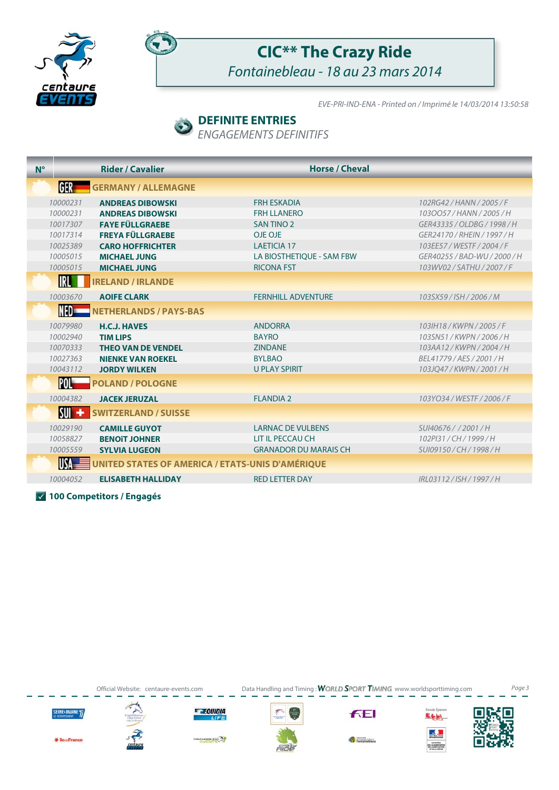



## **CIC\*\* The Crazy Ride** Fontainebleau - 18 au 23 mars 2014

EVE-PRI-IND-ENA - Printed on / Imprimé le 14/03/2014 13:50:58

### **DEFINITE ENTRIES**

ENGAGEMENTS DEFINITIFS

| $N^{\circ}$ |                          | <b>Rider / Cavalier</b>       | <b>Horse / Cheval</b>                                   |                              |
|-------------|--------------------------|-------------------------------|---------------------------------------------------------|------------------------------|
|             | GER                      | <b>GERMANY / ALLEMAGNE</b>    |                                                         |                              |
|             | 10000231                 | <b>ANDREAS DIBOWSKI</b>       | <b>FRH ESKADIA</b>                                      | 102RG42 / HANN / 2005 / F    |
|             | 10000231                 | <b>ANDREAS DIBOWSKI</b>       | <b>FRH LLANERO</b>                                      | 1030057/HANN/2005/H          |
|             | 10017307                 | <b>FAYE FÜLLGRAEBE</b>        | <b>SAN TINO 2</b>                                       | GER43335 / OLDBG / 1998 / H  |
|             | 10017314                 | <b>FREYA FÜLLGRAEBE</b>       | OJE OJE                                                 | GER24170 / RHEIN / 1997 / H  |
|             | 10025389                 | <b>CARO HOFFRICHTER</b>       | <b>LAETICIA 17</b>                                      | 103EE57 / WESTF / 2004 / F   |
|             | 10005015                 | <b>MICHAEL JUNG</b>           | LA BIOSTHETIQUE - SAM FBW                               | GER40255 / BAD-WU / 2000 / H |
|             | 10005015                 | <b>MICHAEL JUNG</b>           | <b>RICONA FST</b>                                       | 103WV02 / SATHU / 2007 / F   |
|             | <b>IRL</b>               | <b>IRELAND / IRLANDE</b>      |                                                         |                              |
|             | 10003670                 | <b>AOIFE CLARK</b>            | <b>FERNHILL ADVENTURE</b>                               | 103SX59/ISH/2006/M           |
|             | NED=                     | <b>NETHERLANDS / PAYS-BAS</b> |                                                         |                              |
|             | 10079980                 | <b>H.C.J. HAVES</b>           | <b>ANDORRA</b>                                          | 103IH18 / KWPN / 2005 / F    |
|             | 10002940                 | <b>TIM LIPS</b>               | <b>BAYRO</b>                                            | 103SN51/KWPN/2006/H          |
|             | 10070333                 | <b>THEO VAN DE VENDEL</b>     | <b>ZINDANE</b>                                          | 103AA12/KWPN/2004/H          |
|             | 10027363                 | <b>NIENKE VAN ROEKEL</b>      | <b>BYLBAO</b>                                           | BEL41779 / AES / 2001 / H    |
|             | 10043112                 | <b>JORDY WILKEN</b>           | <b>U PLAY SPIRIT</b>                                    | 103JQ47/KWPN/2001/H          |
|             | POL"                     | <b>POLAND / POLOGNE</b>       |                                                         |                              |
|             | 10004382                 | <b>JACEK JERUZAL</b>          | <b>FLANDIA 2</b>                                        | 103YO34 / WESTF / 2006 / F   |
|             | $\mathsf{S}\mathsf{U}$ + | <b>SWITZERLAND / SUISSE</b>   |                                                         |                              |
|             | 10029190                 | <b>CAMILLE GUYOT</b>          | <b>LARNAC DE VULBENS</b>                                | SUI40676 / / 2001 / H        |
|             | 10058827                 | <b>BENOIT JOHNER</b>          | LIT IL PECCAU CH                                        | 102PI31/CH/1999/H            |
|             | 10005559                 | <b>SYLVIA LUGEON</b>          | <b>GRANADOR DU MARAIS CH</b>                            | SUI09150 / CH / 1998 / H     |
|             | <b>USA</b>               |                               | <b>UNITED STATES OF AMERICA / ETATS-UNIS D'AMÉRIQUE</b> |                              |
|             | 10004052                 | <b>ELISABETH HALLIDAY</b>     | <b>RED LETTER DAY</b>                                   | IRL03112/ISH/1997/H          |

**100 Competitors / Engagés**

SEINE+MARNE<sub>7</sub>

**KilouFrance** 



**E EQUIDIA** 

**BLEAU AS** 

Official Website: centaure-events.com Data Handling and Timing: WORLD SPORT TIMING www.worldsporttiming.com Page 3

**FEI** 

Fontainebleau

nds Eperon

**K fe fe)** التوليد

MONETERE<br>SE E NEDERLOCHERO<br>DE LINGUATI A MONET<br>HEGAELA MONET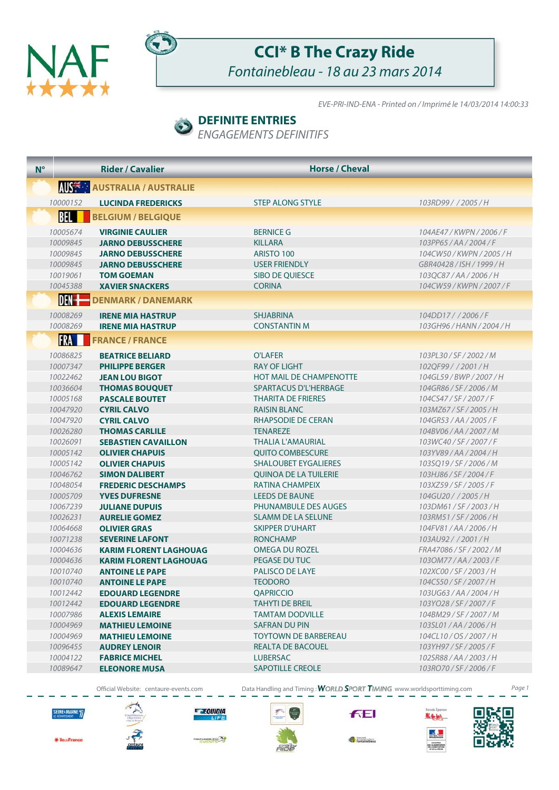



## **CCI\* B The Crazy Ride**

Fontainebleau - 18 au 23 mars 2014

EVE-PRI-IND-ENA - Printed on / Imprimé le 14/03/2014 14:00:33

### **DEFINITE ENTRIES**

ENGAGEMENTS DEFINITIFS

| $N^{\circ}$ |                      | <b>Rider / Cavalier</b>                           | <b>Horse / Cheval</b>                    |                                              |
|-------------|----------------------|---------------------------------------------------|------------------------------------------|----------------------------------------------|
|             |                      | <b>AUSTRALIA / AUSTRALIE</b>                      |                                          |                                              |
|             | 10000152             | <b>LUCINDA FREDERICKS</b>                         | <b>STEP ALONG STYLE</b>                  | 103RD99//2005/H                              |
|             | <b>BEL</b>           | <b>BELGIUM / BELGIQUE</b>                         |                                          |                                              |
|             | 10005674             | <b>VIRGINIE CAULIER</b>                           | <b>BERNICE G</b>                         | 104AE47 / KWPN / 2006 / F                    |
|             | 10009845             | <b>JARNO DEBUSSCHERE</b>                          | <b>KILLARA</b>                           | 103PP65/AA/2004/F                            |
|             | 10009845             | <b>JARNO DEBUSSCHERE</b>                          | ARISTO 100                               | 104CW50/KWPN/2005/H                          |
|             | 10009845             | <b>JARNO DEBUSSCHERE</b>                          | <b>USER FRIENDLY</b>                     | GBR40428 / ISH / 1999 / H                    |
|             | 10019061             | <b>TOM GOEMAN</b>                                 | SIBO DE QUIESCE                          | 103QC87/AA/2006/H                            |
|             | 10045388             | <b>XAVIER SNACKERS</b>                            | <b>CORINA</b>                            | 104CW59 / KWPN / 2007 / F                    |
|             | $DEN +$              | <b>DENMARK / DANEMARK</b>                         |                                          |                                              |
|             | 10008269             | <b>IRENE MIA HASTRUP</b>                          | <b>SHJABRINA</b>                         | 104DD17//2006/F                              |
|             | 10008269             | <b>IRENE MIA HASTRUP</b>                          | <b>CONSTANTIN M</b>                      | 103GH96/HANN/2004/H                          |
|             | <b>FRA</b>           | <b>FRANCE / FRANCE</b>                            |                                          |                                              |
|             | 10086825             | <b>BEATRICE BELIARD</b>                           | <b>O'LAFER</b>                           | 103PL30/SF/2002/M                            |
|             | 10007347             | <b>PHILIPPE BERGER</b>                            | <b>RAY OF LIGHT</b>                      | 102QF99//2001/H                              |
|             | 10022462             | <b>JEAN LOU BIGOT</b>                             | <b>HOT MAIL DE CHAMPENOTTE</b>           | 104GL59/BWP/2007/H                           |
|             | 10036604             | <b>THOMAS BOUQUET</b>                             | SPARTACUS D'L'HERBAGE                    | 104GR86/SF/2006/M                            |
|             | 10005168             | <b>PASCALE BOUTET</b>                             | <b>THARITA DE FRIERES</b>                | 104CS47/SF/2007/F                            |
|             | 10047920             | <b>CYRIL CALVO</b>                                | <b>RAISIN BLANC</b>                      | 103MZ67/SF/2005/H                            |
|             | 10047920             | <b>CYRIL CALVO</b>                                | RHAPSODIE DE CERAN                       | 104GR53/AA/2005/F                            |
|             | 10026280             | <b>THOMAS CARLILE</b>                             | <b>TENAREZE</b>                          | 104BV06/AA/2007/M                            |
|             | 10026091             | <b>SEBASTIEN CAVAILLON</b>                        | THALIA L'AMAURIAL                        | 103WC40/SF/2007/F                            |
|             | 10005142             | <b>OLIVIER CHAPUIS</b>                            | <b>QUITO COMBESCURE</b>                  | 103YV89/AA/2004/H                            |
|             | 10005142             | <b>OLIVIER CHAPUIS</b>                            | <b>SHALOUBET EYGALIERES</b>              | 103SQ19/SF/2006/M                            |
|             | 10046762<br>10048054 | <b>SIMON DALIBERT</b>                             | QUINOA DE LA TUILERIE<br>RATINA CHAMPEIX | 103HJ86/SF/2004/F<br>103XZ59 / SF / 2005 / F |
|             | 10005709             | <b>FREDERIC DESCHAMPS</b><br><b>YVES DUFRESNE</b> | <b>LEEDS DE BAUNE</b>                    | 104GU20 / / 2005 / H                         |
|             | 10067239             | <b>JULIANE DUPUIS</b>                             | <b>PHUNAMBULE DES AUGES</b>              | 103DM61/SF/2003/H                            |
|             | 10026231             | <b>AURELIE GOMEZ</b>                              | <b>SLAMM DE LA SELUNE</b>                | 103RM51/SF/2006/H                            |
|             | 10064668             | <b>OLIVIER GRAS</b>                               | <b>SKIPPER D'UHART</b>                   | 104FV81/AA/2006/H                            |
|             | 10071238             | <b>SEVERINE LAFONT</b>                            | <b>RONCHAMP</b>                          | 103AU92 / / 2001 / H                         |
|             | 10004636             | <b>KARIM FLORENT LAGHOUAG</b>                     | OMEGA DU ROZEL                           | FRA47086 / SF / 2002 / M                     |
|             | 10004636             | <b>KARIM FLORENT LAGHOUAG</b>                     | PEGASE DU TUC                            | 1030M77/AA/2003/F                            |
|             | 10010740             | <b>ANTOINE LE PAPE</b>                            | <b>PALISCO DE LAYE</b>                   | 102XC00/SF/2003/H                            |
|             | 10010740             | <b>ANTOINE LE PAPE</b>                            | TEODORO                                  | 104CS50/SF/2007/H                            |
|             | 10012442             | <b>EDOUARD LEGENDRE</b>                           | <b>QAPRICCIO</b>                         | 103UG63/AA/2004/H                            |
|             | 10012442             | <b>EDOUARD LEGENDRE</b>                           | <b>TAHYTI DE BREIL</b>                   | 103YO28/SF/2007/F                            |
|             | 10007986             | <b>ALEXIS LEMAIRE</b>                             | <b>TAMTAM DODVILLE</b>                   | 104BM29/SF/2007/M                            |
|             | 10004969             | <b>MATHIEU LEMOINE</b>                            | <b>SAFRAN DU PIN</b>                     | 103SL01/AA/2006/H                            |
|             | 10004969             | <b>MATHIEU LEMOINE</b>                            | <b>TOYTOWN DE BARBEREAU</b>              | 104CL10/OS/2007/H                            |
|             | 10096455             | <b>AUDREY LENOIR</b>                              | REALTA DE BACOUEL                        | 103YH97/SF/2005/F                            |
|             | 10004122             | <b>FABRICE MICHEL</b>                             | <b>LUBERSAC</b>                          | 102SR88/AA/2003/H                            |
|             | 10089647             | <b>ELEONORE MUSA</b>                              | <b>SAPOTILLE CREOLE</b>                  | 103RO70/SF/2006/F                            |

Official Website: centaure-events.com Data Handling and Timing : WORLD SPORT TIMING www.worldsporttiming.com Page 1



\* les-France





**BLEAD<sup>TA</sup>S** 



**FEI** 



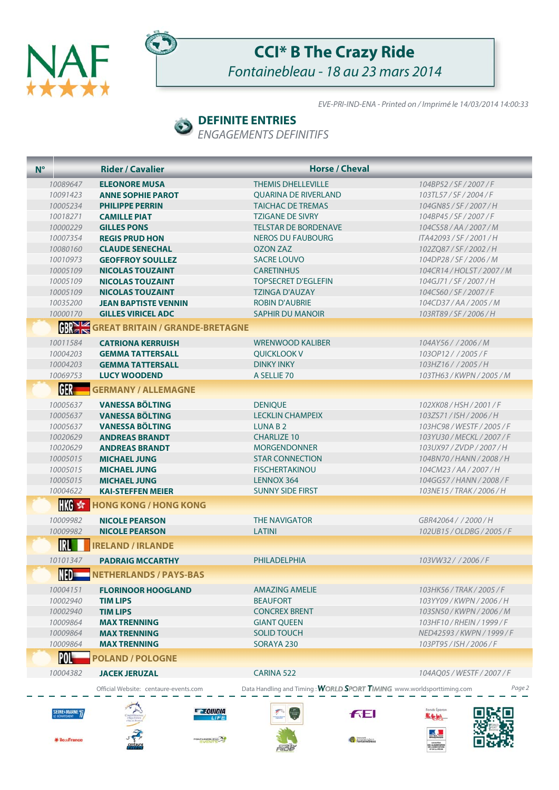



## **CCI\* B The Crazy Ride** Fontainebleau - 18 au 23 mars 2014

EVE-PRI-IND-ENA - Printed on / Imprimé le 14/03/2014 14:00:33

简毅

MONTES

Fontainebleau

#### **DEFINITE ENTRIES**  $\bullet$

ENGAGEMENTS DEFINITIFS

| $N^{\circ}$ |                                           | <b>Rider / Cavalier</b>                 | <b>Horse / Cheval</b>                                                 |                            |
|-------------|-------------------------------------------|-----------------------------------------|-----------------------------------------------------------------------|----------------------------|
|             | 10089647                                  | <b>ELEONORE MUSA</b>                    | <b>THEMIS DHELLEVILLE</b>                                             | 104BP52/SF/2007/F          |
|             | 10091423                                  | <b>ANNE SOPHIE PAROT</b>                | <b>OUARINA DE RIVERLAND</b>                                           | 103TL57/SF/2004/F          |
|             | 10005234                                  | <b>PHILIPPE PERRIN</b>                  | <b>TAICHAC DE TREMAS</b>                                              | 104GN85/SF/2007/H          |
|             | 10018271                                  | <b>CAMILLE PIAT</b>                     | <b>TZIGANE DE SIVRY</b>                                               | 104BP45 / SF / 2007 / F    |
|             | 10000229                                  | <b>GILLES PONS</b>                      | <b>TELSTAR DE BORDENAVE</b>                                           | 104CS58/AA/2007/M          |
|             | 10007354                                  | <b>REGIS PRUD HON</b>                   | <b>NEROS DU FAUBOURG</b>                                              | ITA42093 / SF / 2001 / H   |
|             | 10080160                                  | <b>CLAUDE SENECHAL</b>                  | <b>OZON ZAZ</b>                                                       | 102ZQ87/SF/2002/H          |
|             | 10010973                                  | <b>GEOFFROY SOULLEZ</b>                 | <b>SACRE LOUVO</b>                                                    | 104DP28/SF/2006/M          |
|             | 10005109                                  | <b>NICOLAS TOUZAINT</b>                 | <b>CARETINHUS</b>                                                     | 104CR14 / HOLST / 2007 / M |
|             | 10005109                                  | <b>NICOLAS TOUZAINT</b>                 | <b>TOPSECRET D'EGLEFIN</b>                                            | 104GJ71/SF/2007/H          |
|             | 10005109                                  | <b>NICOLAS TOUZAINT</b>                 | <b>TZINGA D'AUZAY</b>                                                 | 104CS60/SF/2007/F          |
|             | 10035200                                  | <b>JEAN BAPTISTE VENNIN</b>             | <b>ROBIN D'AUBRIE</b>                                                 | 104CD37/AA/2005/M          |
|             | 10000170                                  | <b>GILLES VIRICEL ADC</b>               | <b>SAPHIR DU MANOIR</b>                                               | 103RT89/SF/2006/H          |
|             |                                           | <b>GBREAD BRITAIN / GRANDE-BRETAGNE</b> |                                                                       |                            |
|             | 10011584                                  | <b>CATRIONA KERRUISH</b>                | <b>WRENWOOD KALIBER</b>                                               | 104AY56 / / 2006 / M       |
|             | 10004203                                  | <b>GEMMA TATTERSALL</b>                 | <b>OUICKLOOK V</b>                                                    | 103OP12//2005/F            |
|             | 10004203                                  | <b>GEMMA TATTERSALL</b>                 | <b>DINKY INKY</b>                                                     | 103HZ16//2005/H            |
|             | 10069753                                  | <b>LUCY WOODEND</b>                     | A SELLIE 70                                                           | 103TH63 / KWPN / 2005 / M  |
|             | GER                                       | <b>GERMANY / ALLEMAGNE</b>              |                                                                       |                            |
|             |                                           |                                         |                                                                       |                            |
|             | 10005637                                  | <b>VANESSA BÖLTING</b>                  | <b>DENIQUE</b>                                                        | 102XK08 / HSH / 2001 / F   |
|             | 10005637                                  | <b>VANESSA BÖLTING</b>                  | <b>LECKLIN CHAMPEIX</b>                                               | 103ZS71/ISH/2006/H         |
|             | 10005637                                  | <b>VANESSA BÖLTING</b>                  | LUNA B <sub>2</sub>                                                   | 103HC98 / WESTF / 2005 / F |
|             | 10020629                                  | <b>ANDREAS BRANDT</b>                   | <b>CHARLIZE 10</b>                                                    | 103YU30 / MECKL / 2007 / F |
|             | 10020629                                  | <b>ANDREAS BRANDT</b>                   | <b>MORGENDONNER</b>                                                   | 103UX97/ZVDP/2007/H        |
|             | 10005015                                  | <b>MICHAEL JUNG</b>                     | <b>STAR CONNECTION</b>                                                | 104BN70/HANN/2008/H        |
|             | 10005015                                  | <b>MICHAEL JUNG</b>                     | <b>FISCHERTAKINOU</b>                                                 | 104CM23/AA/2007/H          |
|             | 10005015                                  | <b>MICHAEL JUNG</b>                     | LENNOX 364                                                            | 104GG57/HANN/2008/F        |
|             | 10004622                                  | <b>KAI-STEFFEN MEIER</b>                | <b>SUNNY SIDE FIRST</b>                                               | 103NE15 / TRAK / 2006 / H  |
|             | HKG *                                     | <b>HONG KONG / HONG KONG</b>            |                                                                       |                            |
|             | 10009982                                  | <b>NICOLE PEARSON</b>                   | <b>THE NAVIGATOR</b>                                                  | GBR42064 / / 2000 / H      |
|             | 10009982                                  | <b>NICOLE PEARSON</b>                   | LATINI                                                                | 102UB15/OLDBG/2005/F       |
|             | IRL                                       | <b>IRELAND / IRLANDE</b>                |                                                                       |                            |
|             | 10101347                                  | <b>PADRAIG MCCARTHY</b>                 | <b>PHILADELPHIA</b>                                                   | 103VW32 / / 2006 / F       |
|             | NED=                                      | <b>NETHERLANDS / PAYS-BAS</b>           |                                                                       |                            |
|             | 10004151                                  | <b>FLORINOOR HOOGLAND</b>               | <b>AMAZING AMELIE</b>                                                 | 103HK56 / TRAK / 2005 / F  |
|             | 10002940                                  | <b>TIM LIPS</b>                         | <b>BEAUFORT</b>                                                       | 103YY09 / KWPN / 2006 / H  |
|             | 10002940                                  | <b>TIM LIPS</b>                         | <b>CONCREX BRENT</b>                                                  | 103SN50 / KWPN / 2006 / M  |
|             | 10009864                                  | <b>MAX TRENNING</b>                     | <b>GIANT QUEEN</b>                                                    | 103HF10 / RHEIN / 1999 / F |
|             | 10009864                                  | <b>MAX TRENNING</b>                     | <b>SOLID TOUCH</b>                                                    | NED42593 / KWPN / 1999 / F |
|             | 10009864                                  | <b>MAX TRENNING</b>                     | SORAYA 230                                                            | 103PT95 / ISH / 2006 / F   |
|             | POL"                                      | <b>POLAND / POLOGNE</b>                 |                                                                       |                            |
|             | 10004382                                  | <b>JACEK JERUZAL</b>                    | <b>CARINA 522</b>                                                     | 104AQ05 / WESTF / 2007 / F |
|             |                                           | Official Website: centaure-events.com   | Data Handling and Timing: WORLD SPORT TIMING www.worldsporttiming.com | Page 2                     |
|             | SEINE <sup>&amp;</sup> MARNE <sub>7</sub> | <b>Execution</b><br>LIFF                | FEI                                                                   | Fonds Eperon<br>聖化 !!      |

FONTAINER EAU

\* ileseFrance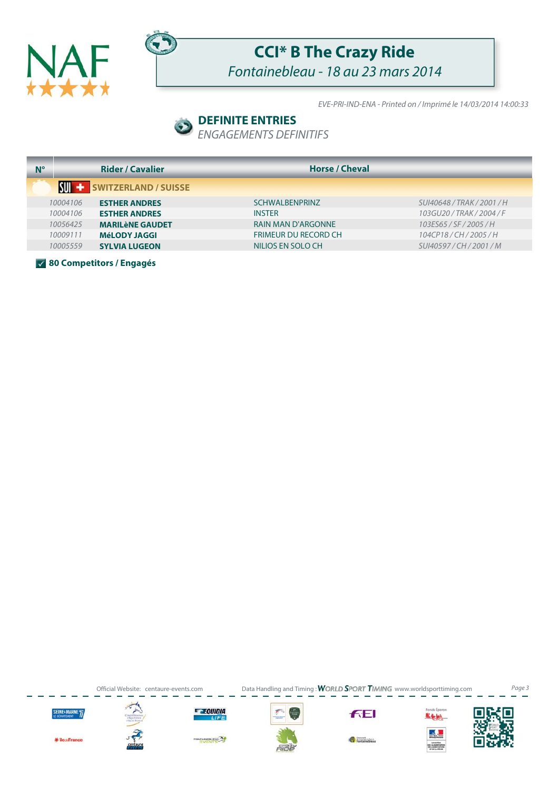



## **CCI\* B The Crazy Ride**

Fontainebleau - 18 au 23 mars 2014

EVE-PRI-IND-ENA - Printed on / Imprimé le 14/03/2014 14:00:33

### **DEFINITE ENTRIES**

ENGAGEMENTS DEFINITIFS

| $N^{\circ}$ |          | <b>Rider / Cavalier</b> | <b>Horse / Cheval</b>       |                            |
|-------------|----------|-------------------------|-----------------------------|----------------------------|
|             |          | SWITZERLAND / SUISSE    |                             |                            |
|             | 10004106 | <b>ESTHER ANDRES</b>    | <b>SCHWALBENPRINZ</b>       | SUI40648 / TRAK / 2001 / H |
|             | 10004106 | <b>ESTHER ANDRES</b>    | <b>INSTER</b>               | 103GU20/TRAK/2004/F        |
|             | 10056425 | <b>MARILèNE GAUDET</b>  | <b>RAIN MAN D'ARGONNE</b>   | 103ES65 / SF / 2005 / H    |
|             | 10009111 | <b>MéLODY JAGGI</b>     | <b>FRIMEUR DU RECORD CH</b> | 104CP18/CH/2005/H          |
|             | 10005559 | <b>SYLVIA LUGEON</b>    | NILIOS EN SOLO CH           | SUI40597/CH/2001/M         |

**80 Competitors / Engagés**

Official Website: centaure-events.com Data Handling and Timing: WORLD SPORT TIMING www.worldsporttiming.com Page 3



**KilouFrance** 













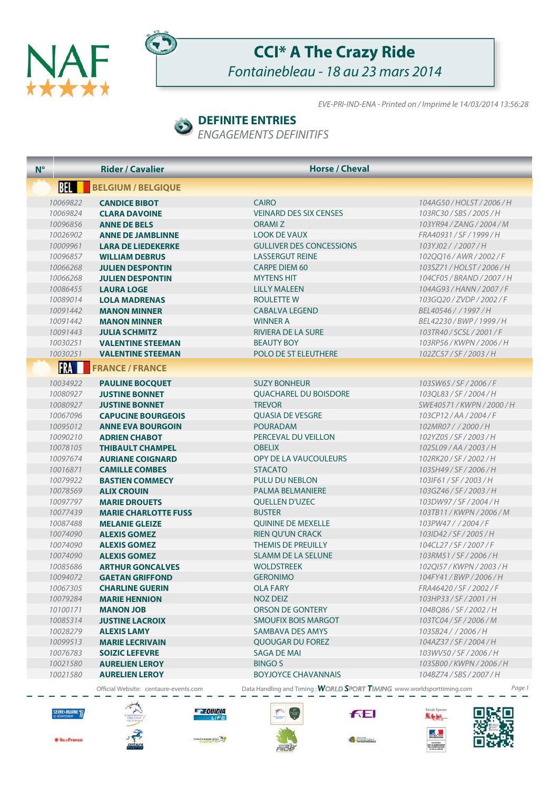



## **CCI\* A The Crazy Ride** Fontainebleau - 18 au 23 mars 2014

EVE-PRI-IND-ENA - Printed on / Imprimé le 14/03/2014 13:56:28

### **DEFINITE ENTRIES**

ENGAGEMENTS DEFINITIFS

| $N^{\circ}$ |                      | <b>Rider / Cavalier</b>                            | <b>Horse / Cheval</b>                                                 |                                                 |
|-------------|----------------------|----------------------------------------------------|-----------------------------------------------------------------------|-------------------------------------------------|
|             | BEL <b>H</b>         | <b>BELGIUM / BELGIQUE</b>                          |                                                                       |                                                 |
|             | 10069822             | <b>CANDICE BIBOT</b>                               | <b>CAIRO</b>                                                          | 104AG50/HOLST/2006/H                            |
|             | 10069824             | <b>CLARA DAVOINE</b>                               | <b>VEINARD DES SIX CENSES</b>                                         | 103RC30/SBS/2005/H                              |
|             | 10096856             | <b>ANNE DE BELS</b>                                | ORAMI Z                                                               | 103YR94 / ZANG / 2004 / M                       |
|             | 10026902             | <b>ANNE DE JAMBLINNE</b>                           | <b>LOOK DE VAUX</b>                                                   | FRA40931/SF/1999/H                              |
|             | 10009961             | <b>LARA DE LIEDEKERKE</b>                          | <b>GULLIVER DES CONCESSIONS</b>                                       | 103YJ02//2007/H                                 |
|             | 10096857             | <b>WILLIAM DEBRUS</b>                              | <b>LASSERGUT REINE</b>                                                | 1020016/AWR/2002/F                              |
|             | 10066268             | <b>JULIEN DESPONTIN</b>                            | <b>CARPE DIEM 60</b>                                                  | 103SZ71/HOLST/2006/H                            |
|             | 10066268             | <b>JULIEN DESPONTIN</b>                            | <b>MYTENS HIT</b>                                                     | 104CF05 / BRAND / 2007 / H                      |
|             | 10086455             | <b>LAURA LOGE</b>                                  | <b>LILLY MALEEN</b>                                                   | 104AG93/HANN/2007/F                             |
|             | 10089014             | <b>LOLA MADRENAS</b>                               | ROULETTE W                                                            | 103GQ20/ZVDP/2002/F                             |
|             | 10091442             | <b>MANON MINNER</b>                                | <b>CABALVA LEGEND</b>                                                 | BEL40546 / / 1997 / H                           |
|             | 10091442             | <b>MANON MINNER</b>                                | <b>WINNER A</b>                                                       | BEL42230 / BWP / 1999 / H                       |
|             | 10091443             | <b>JULIA SCHMITZ</b>                               | <b>RIVIERA DE LA SURE</b>                                             | 103TR40/SCSL/2001/F                             |
|             | 10030251             | <b>VALENTINE STEEMAN</b>                           | <b>BEAUTY BOY</b>                                                     | 103RP56/KWPN/2006/H                             |
|             | 10030251             | <b>VALENTINE STEEMAN</b>                           | <b>POLO DE ST ELEUTHERE</b>                                           | 102ZC57/SF/2003/H                               |
|             | FRA                  | <b>FRANCE / FRANCE</b>                             |                                                                       |                                                 |
|             |                      |                                                    |                                                                       |                                                 |
|             | 10034922<br>10080927 | <b>PAULINE BOCOUET</b><br><b>JUSTINE BONNET</b>    | <b>SUZY BONHEUR</b><br><b>OUACHAREL DU BOISDORE</b>                   | 103SW65/SF/2006/F                               |
|             | 10080927             |                                                    | <b>TREVOR</b>                                                         | 103QL83/SF/2004/H<br>SWE40571 / KWPN / 2000 / H |
|             |                      | <b>JUSTINE BONNET</b><br><b>CAPUCINE BOURGEOIS</b> |                                                                       |                                                 |
|             | 10067096             |                                                    | <b>OUASIA DE VESGRE</b><br><b>POURADAM</b>                            | 103CP12/AA/2004/F                               |
|             | 10095012<br>10090210 | <b>ANNE EVA BOURGOIN</b>                           | PERCEVAL DU VEILLON                                                   | 102MR07//2000/H                                 |
|             |                      | <b>ADRIEN CHABOT</b>                               |                                                                       | 102YZ05 / SF / 2003 / H                         |
|             | 10078105<br>10097674 | <b>THIBAULT CHAMPEL</b><br><b>AURIANE COIGNARD</b> | <b>OBELIX</b><br>OPY DE LA VAUCOULEURS                                | 102SL09/AA/2003/H<br>102RK20/SF/2002/H          |
|             | 10016871             | <b>CAMILLE COMBES</b>                              | <b>STACATO</b>                                                        | 103SH49/SF/2006/H                               |
|             | 10079922             | <b>BASTIEN COMMECY</b>                             | PULU DU NEBLON                                                        | 103IF61/SF/2003/H                               |
|             | 10078569             | <b>ALIX CROUIN</b>                                 | <b>PALMA BELMANIERE</b>                                               | 103GZ46/SF/2003/H                               |
|             | 10097797             | <b>MARIE DROUETS</b>                               | <b>QUELLEN D'UZEC</b>                                                 | 103DW97/SF/2004/H                               |
|             | 10077439             | <b>MARIE CHARLOTTE FUSS</b>                        | <b>BUSTER</b>                                                         | 103TB11/KWPN/2006/M                             |
|             | 10087488             | <b>MELANIE GLEIZE</b>                              | <b>QUININE DE MEXELLE</b>                                             | 103PW47//2004/F                                 |
|             | 10074090             | <b>ALEXIS GOMEZ</b>                                | <b>RIEN QU'UN CRACK</b>                                               | 103ID42 / SF / 2005 / H                         |
|             | 10074090             | <b>ALEXIS GOMEZ</b>                                | <b>THEMIS DE PREUILLY</b>                                             | 104CL27/SF/2007/F                               |
|             | 10074090             | <b>ALEXIS GOMEZ</b>                                | <b>SLAMM DE LA SELUNE</b>                                             | 103RM51/SF/2006/H                               |
|             | 10085686             | <b>ARTHUR GONCALVES</b>                            | <b>WOLDSTREEK</b>                                                     | 102QI57 / KWPN / 2003 / H                       |
|             | 10094072             | <b>GAETAN GRIFFOND</b>                             | <b>GERONIMO</b>                                                       | 104FY41 / BWP / 2006 / H                        |
|             | 10067305             | <b>CHARLINE GUERIN</b>                             | <b>OLA FARY</b>                                                       | FRA46420 / SF / 2002 / F                        |
|             | 10079284             | <b>MARIE HENNION</b>                               | <b>NOZ DEIZ</b>                                                       | 103HP33/SF/2001/H                               |
|             | 10100171             | <b>MANON JOB</b>                                   | ORSON DE GONTERY                                                      | 104BQ86/SF/2002/H                               |
|             | 10085314             | <b>JUSTINE LACROIX</b>                             | SMOUFIX BOIS MARGOT                                                   | 103TC04 / SF / 2006 / M                         |
|             | 10028279             | <b>ALEXIS LAMY</b>                                 | SAMBAVA DES AMYS                                                      | 103SB24 / / 2006 / H                            |
|             | 10099513             | <b>MARIE LECRIVAIN</b>                             | QUOUGAR DU FOREZ                                                      | 104AZ37/SF/2004/H                               |
|             | 10076783             | <b>SOIZIC LEFEVRE</b>                              | <b>SAGA DE MAI</b>                                                    | 103WV50/SF/2006/H                               |
|             | 10021580             | <b>AURELIEN LEROY</b>                              | <b>BINGO S</b>                                                        | 103SB00/KWPN/2006/H                             |
|             | 10021580             | <b>AURELIEN LEROY</b>                              | <b>BOYJOYCE CHAVANNAIS</b>                                            | 104BZ74/SBS/2007/H                              |
|             |                      | Official Website: centaure-events.com              | Data Handling and Timing: WORLD SPORT TIMING www.worldsporttiming.com | Page 1                                          |



**\* iles-France** 





**WENTERS** 



**FEI** 



Fonds Eperon

 $\mathbf{A}$ 

MONTES<br>DE L'ALDADISTATORE<br>DE L'ANGUACI STATE

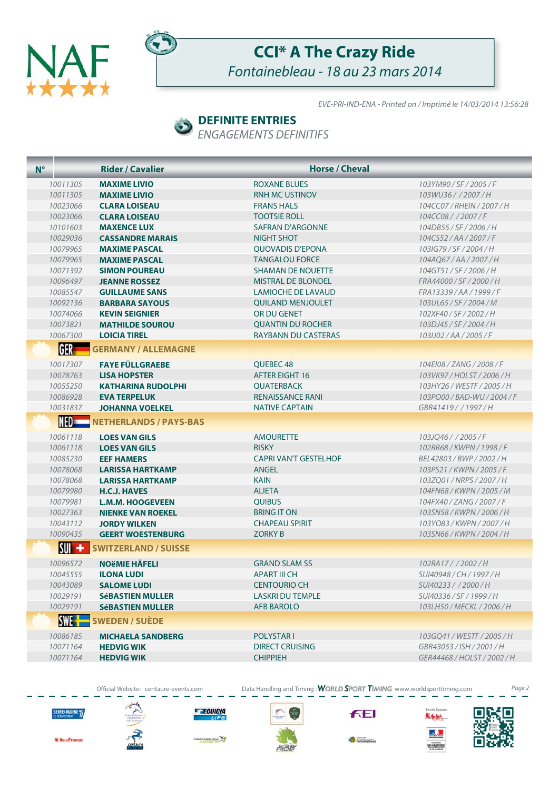



## **CCI\* A The Crazy Ride** Fontainebleau - 18 au 23 mars 2014

EVE-PRI-IND-ENA - Printed on / Imprimé le 14/03/2014 13:56:28

#### **DEFINITE ENTRIES**

ENGAGEMENTS DEFINITIFS

| $N^{\circ}$     | <b>Rider / Cavalier</b>       | <b>Horse / Cheval</b>        |                             |
|-----------------|-------------------------------|------------------------------|-----------------------------|
| 10011305        | <b>MAXIME LIVIO</b>           | ROXANE BLUES                 | 103YM90/SF/2005/F           |
| 10011305        | <b>MAXIME LIVIO</b>           | <b>RNH MC USTINOV</b>        | 103WU36//2007/H             |
| 10023066        | <b>CLARA LOISEAU</b>          | <b>FRANS HALS</b>            | 104CC07 / RHEIN / 2007 / H  |
| 10023066        | <b>CLARA LOISEAU</b>          | <b>TOOTSIE ROLL</b>          | 104CC08 / / 2007 / F        |
| 10101603        | <b>MAXENCE LUX</b>            | <b>SAFRAN D'ARGONNE</b>      | 104DB55/SF/2006/H           |
| 10029036        | <b>CASSANDRE MARAIS</b>       | <b>NIGHT SHOT</b>            | 104CS52/AA/2007/F           |
| 10079965        | <b>MAXIME PASCAL</b>          | <b>OUOVADIS D'EPONA</b>      | 103IG79/SF/2004/H           |
| 10079965        | <b>MAXIME PASCAL</b>          | <b>TANGALOU FORCE</b>        | 104AO67/AA/2007/H           |
| 10071392        | <b>SIMON POUREAU</b>          | <b>SHAMAN DE NOUETTE</b>     | 104GT51/SF/2006/H           |
| 10096497        | <b>JEANNE ROSSEZ</b>          | <b>MISTRAL DE BLONDEL</b>    | FRA44000/SF/2000/H          |
| 10085547        | <b>GUILLAUME SANS</b>         | <b>LAMIOCHE DE LAVAUD</b>    | FRA13339/AA/1999/F          |
| 10092136        | <b>BARBARA SAYOUS</b>         | <b>QUILAND MENJOULET</b>     | 103UL65 / SF / 2004 / M     |
| 10074066        | <b>KEVIN SEIGNIER</b>         | OR DU GENET                  | 102XF40/SF/2002/H           |
| 10073821        | <b>MATHILDE SOUROU</b>        | <b>OUANTIN DU ROCHER</b>     | 103DJ45/SF/2004/H           |
| 10067300        | <b>LOICIA TIREL</b>           | RAYBANN DU CASTERAS          | 103IJ02 / AA / 2005 / F     |
| GER –           | <b>GERMANY / ALLEMAGNE</b>    |                              |                             |
| 10017307        | <b>FAYE FÜLLGRAEBE</b>        | QUEBEC 48                    | 104E108 / ZANG / 2008 / F   |
| 10078763        | <b>LISA HOPSTER</b>           | <b>AFTER EIGHT 16</b>        | 103VK97/HOLST/2006/H        |
| 10055250        | <b>KATHARINA RUDOLPHI</b>     | <b>QUATERBACK</b>            | 103HY26 / WESTF / 2005 / H  |
| 10086928        | <b>EVA TERPELUK</b>           | <b>RENAISSANCE RANI</b>      | 103PO00 / BAD-WU / 2004 / F |
| 10031837        | <b>JOHANNA VOELKEL</b>        | <b>NATIVE CAPTAIN</b>        | GBR41419 / / 1997 / H       |
| NED=            | <b>NETHERLANDS / PAYS-BAS</b> |                              |                             |
| 10061118        | <b>LOES VAN GILS</b>          | <b>AMOURETTE</b>             | 103JQ46 / / 2005 / F        |
| 10061118        | <b>LOES VAN GILS</b>          | <b>RISKY</b>                 | 102RR68 / KWPN / 1998 / F   |
| 10085230        | <b>EEF HAMERS</b>             | <b>CAPRI VAN'T GESTELHOF</b> | BEL42803 / BWP / 2002 / H   |
| 10078068        | <b>LARISSA HARTKAMP</b>       | <b>ANGEL</b>                 | 103PS21/KWPN/2005/F         |
| 10078068        | <b>LARISSA HARTKAMP</b>       | <b>KAIN</b>                  | 103ZO01 / NRPS / 2007 / H   |
| 10079980        | <b>H.C.J. HAVES</b>           | <b>ALIETA</b>                | 104FN68 / KWPN / 2005 / M   |
| 10079981        | <b>L.M.M. HOOGEVEEN</b>       | <b>OUIBUS</b>                | 104FX40 / ZANG / 2007 / F   |
| 10027363        | <b>NIENKE VAN ROEKEL</b>      | <b>BRING IT ON</b>           | 103SN58 / KWPN / 2006 / H   |
| 10043112        | <b>JORDY WILKEN</b>           | <b>CHAPEAU SPIRIT</b>        | 103YO83/KWPN/2007/H         |
| 10090435        | <b>GEERT WOESTENBURG</b>      | <b>ZORKY B</b>               | 103SN66 / KWPN / 2004 / H   |
| <b>SUI</b><br>۰ | <b>SWITZERLAND / SUISSE</b>   |                              |                             |
| 10096572        | <b>NOËMIE HÄFELI</b>          | <b>GRAND SLAM SS</b>         | 102RA17//2002/H             |
| 10045555        | <b>ILONA LUDI</b>             | <b>APART III CH</b>          | SUI40948 / CH / 1997 / H    |
| 10043089        | <b>SALOME LUDI</b>            | <b>CENTOURIO CH</b>          | SUI40233 / / 2000 / H       |
| 10029191        | <b>SéBASTIEN MULLER</b>       | <b>LASKRI DU TEMPLE</b>      | SUI40336 / SF / 1999 / H    |
| 10029191        | <b>SéBASTIEN MULLER</b>       | <b>AFB BAROLO</b>            | 103LH50 / MECKL / 2006 / H  |
| <b>SWE-F</b>    | <b>SWEDEN / SUÈDE</b>         |                              |                             |
| 10086185        | <b>MICHAELA SANDBERG</b>      | <b>POLYSTARI</b>             | 103GQ41 / WESTF / 2005 / H  |
| 10071164        | <b>HEDVIG WIK</b>             | <b>DIRECT CRUISING</b>       | GBR43053/ISH/2001/H         |
| 10071164        | <b>HEDVIG WIK</b>             | <b>CHIPPIEH</b>              | GER44468 / HOLST / 2002 / H |
|                 |                               |                              |                             |

Official Website: centaure-events.com Data Handling and Timing: WORLD SPORT TIMING www.worldsporttiming.com Page 2





**E EQUIDIA** 

**BLEAD<sup>TA</sup>S** 



**FEI** 

Fontainebleau





\* les-France